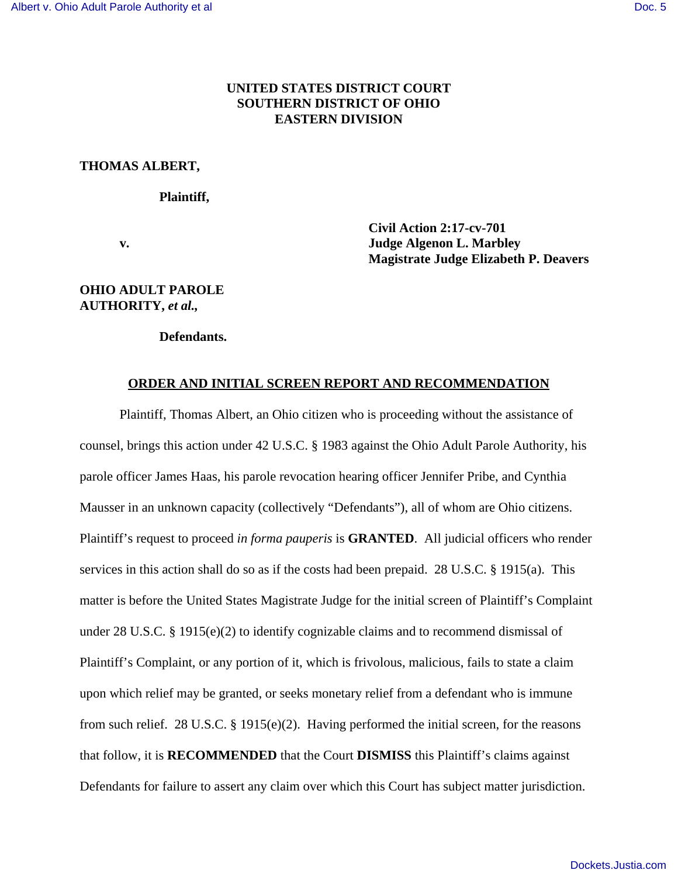## **UNITED STATES DISTRICT COURT SOUTHERN DISTRICT OF OHIO EASTERN DIVISION**

#### **THOMAS ALBERT,**

#### **Plaintiff,**

 **Civil Action 2:17-cv-701 v. Judge Algenon L. Marbley Magistrate Judge Elizabeth P. Deavers**

## **OHIO ADULT PAROLE AUTHORITY,** *et al.,*

**Defendants.**

### **ORDER AND INITIAL SCREEN REPORT AND RECOMMENDATION**

Plaintiff, Thomas Albert, an Ohio citizen who is proceeding without the assistance of counsel, brings this action under 42 U.S.C. § 1983 against the Ohio Adult Parole Authority, his parole officer James Haas, his parole revocation hearing officer Jennifer Pribe, and Cynthia Mausser in an unknown capacity (collectively "Defendants"), all of whom are Ohio citizens. Plaintiff's request to proceed *in forma pauperis* is **GRANTED**. All judicial officers who render services in this action shall do so as if the costs had been prepaid. 28 U.S.C. § 1915(a). This matter is before the United States Magistrate Judge for the initial screen of Plaintiff's Complaint under 28 U.S.C. § 1915(e)(2) to identify cognizable claims and to recommend dismissal of Plaintiff's Complaint, or any portion of it, which is frivolous, malicious, fails to state a claim upon which relief may be granted, or seeks monetary relief from a defendant who is immune from such relief. 28 U.S.C. § 1915(e)(2). Having performed the initial screen, for the reasons that follow, it is **RECOMMENDED** that the Court **DISMISS** this Plaintiff's claims against Defendants for failure to assert any claim over which this Court has subject matter jurisdiction.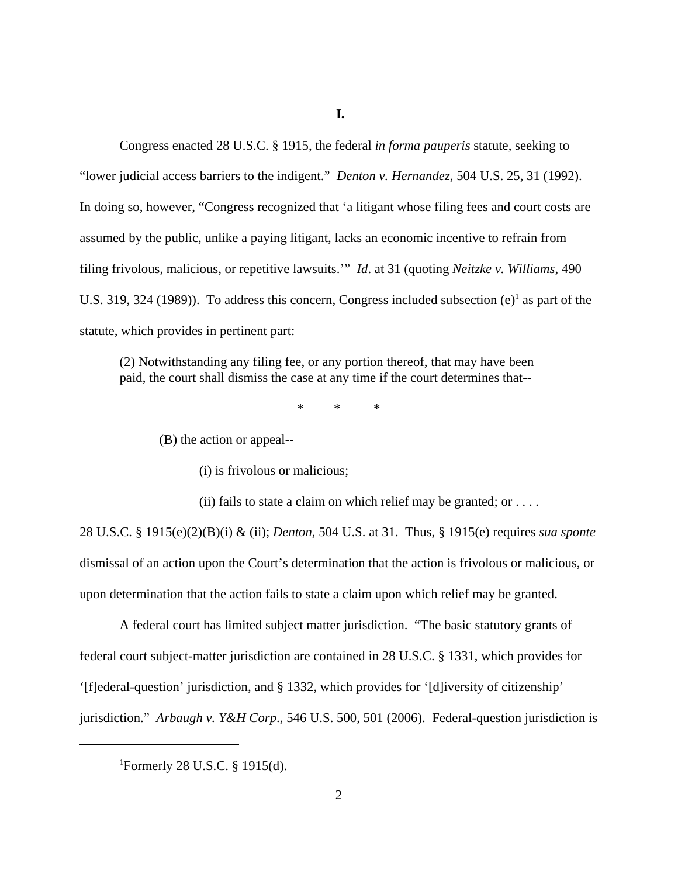Congress enacted 28 U.S.C. § 1915, the federal *in forma pauperis* statute, seeking to "lower judicial access barriers to the indigent." *Denton v. Hernandez*, 504 U.S. 25, 31 (1992). In doing so, however, "Congress recognized that 'a litigant whose filing fees and court costs are assumed by the public, unlike a paying litigant, lacks an economic incentive to refrain from filing frivolous, malicious, or repetitive lawsuits.'" *Id*. at 31 (quoting *Neitzke v. Williams*, 490 U.S. 319, 324 (1989)). To address this concern, Congress included subsection  $(e)^1$  as part of the statute, which provides in pertinent part:

(2) Notwithstanding any filing fee, or any portion thereof, that may have been paid, the court shall dismiss the case at any time if the court determines that--

\* \* \*

(B) the action or appeal--

(i) is frivolous or malicious;

(ii) fails to state a claim on which relief may be granted; or  $\dots$ .

28 U.S.C. § 1915(e)(2)(B)(i) & (ii); *Denton*, 504 U.S. at 31. Thus, § 1915(e) requires *sua sponte* dismissal of an action upon the Court's determination that the action is frivolous or malicious, or upon determination that the action fails to state a claim upon which relief may be granted.

 A federal court has limited subject matter jurisdiction. "The basic statutory grants of federal court subject-matter jurisdiction are contained in 28 U.S.C. § 1331, which provides for '[f]ederal-question' jurisdiction, and § 1332, which provides for '[d]iversity of citizenship' jurisdiction." *Arbaugh v. Y&H Corp*., 546 U.S. 500, 501 (2006). Federal-question jurisdiction is

<sup>&</sup>lt;sup>1</sup>Formerly 28 U.S.C. § 1915(d).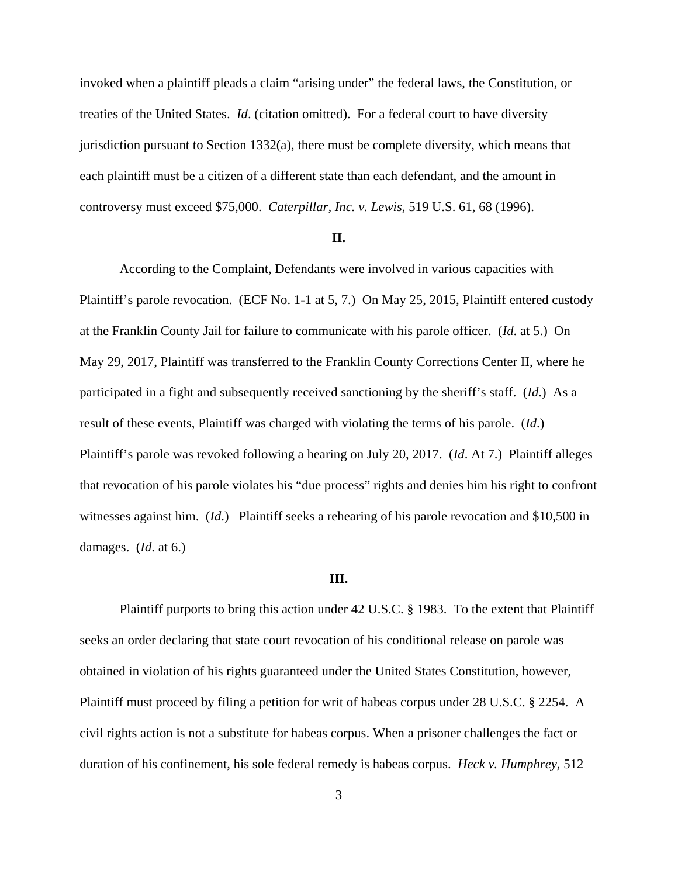invoked when a plaintiff pleads a claim "arising under" the federal laws, the Constitution, or treaties of the United States. *Id*. (citation omitted). For a federal court to have diversity jurisdiction pursuant to Section  $1332(a)$ , there must be complete diversity, which means that each plaintiff must be a citizen of a different state than each defendant, and the amount in controversy must exceed \$75,000. *Caterpillar, Inc. v. Lewis*, 519 U.S. 61, 68 (1996).

### **II.**

According to the Complaint, Defendants were involved in various capacities with Plaintiff's parole revocation. (ECF No. 1-1 at 5, 7.) On May 25, 2015, Plaintiff entered custody at the Franklin County Jail for failure to communicate with his parole officer. (*Id*. at 5.) On May 29, 2017, Plaintiff was transferred to the Franklin County Corrections Center II, where he participated in a fight and subsequently received sanctioning by the sheriff's staff. (*Id*.) As a result of these events, Plaintiff was charged with violating the terms of his parole. (*Id*.) Plaintiff's parole was revoked following a hearing on July 20, 2017. (*Id*. At 7.) Plaintiff alleges that revocation of his parole violates his "due process" rights and denies him his right to confront witnesses against him. (*Id*.) Plaintiff seeks a rehearing of his parole revocation and \$10,500 in damages. (*Id*. at 6.)

#### **III.**

Plaintiff purports to bring this action under 42 U.S.C. § 1983. To the extent that Plaintiff seeks an order declaring that state court revocation of his conditional release on parole was obtained in violation of his rights guaranteed under the United States Constitution, however, Plaintiff must proceed by filing a petition for writ of habeas corpus under 28 U.S.C. § 2254. A civil rights action is not a substitute for habeas corpus. When a prisoner challenges the fact or duration of his confinement, his sole federal remedy is habeas corpus. *Heck v. Humphrey*, 512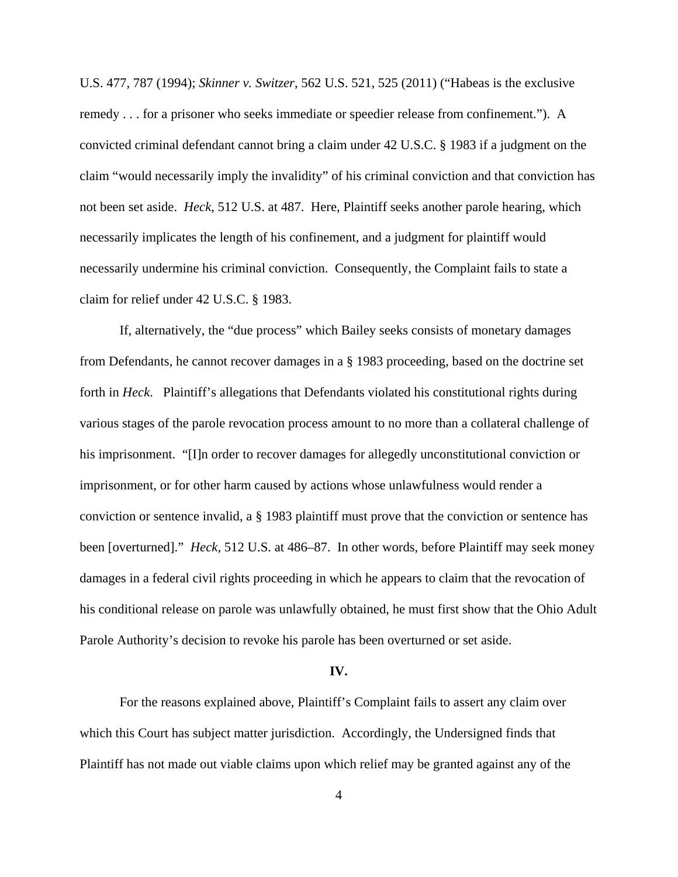U.S. 477, 787 (1994); *Skinner v. Switzer*, 562 U.S. 521, 525 (2011) ("Habeas is the exclusive remedy . . . for a prisoner who seeks immediate or speedier release from confinement."). A convicted criminal defendant cannot bring a claim under 42 U.S.C. § 1983 if a judgment on the claim "would necessarily imply the invalidity" of his criminal conviction and that conviction has not been set aside. *Heck*, 512 U.S. at 487. Here, Plaintiff seeks another parole hearing, which necessarily implicates the length of his confinement, and a judgment for plaintiff would necessarily undermine his criminal conviction. Consequently, the Complaint fails to state a claim for relief under 42 U.S.C. § 1983.

If, alternatively, the "due process" which Bailey seeks consists of monetary damages from Defendants, he cannot recover damages in a § 1983 proceeding, based on the doctrine set forth in *Heck*. Plaintiff's allegations that Defendants violated his constitutional rights during various stages of the parole revocation process amount to no more than a collateral challenge of his imprisonment. "[I]n order to recover damages for allegedly unconstitutional conviction or imprisonment, or for other harm caused by actions whose unlawfulness would render a conviction or sentence invalid, a § 1983 plaintiff must prove that the conviction or sentence has been [overturned]." *Heck*, 512 U.S. at 486–87. In other words, before Plaintiff may seek money damages in a federal civil rights proceeding in which he appears to claim that the revocation of his conditional release on parole was unlawfully obtained, he must first show that the Ohio Adult Parole Authority's decision to revoke his parole has been overturned or set aside.

#### **IV.**

For the reasons explained above, Plaintiff's Complaint fails to assert any claim over which this Court has subject matter jurisdiction. Accordingly, the Undersigned finds that Plaintiff has not made out viable claims upon which relief may be granted against any of the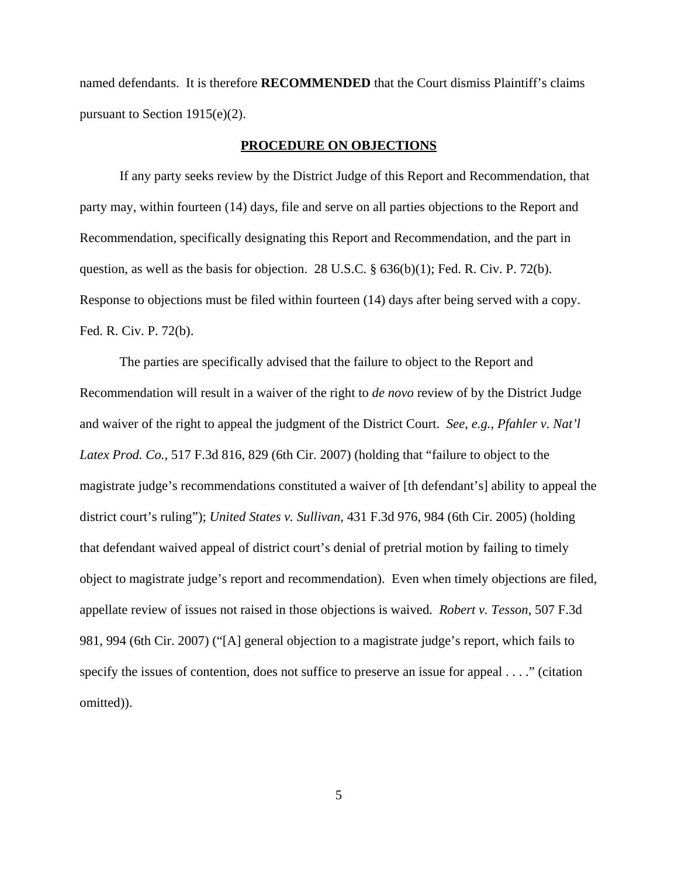named defendants. It is therefore **RECOMMENDED** that the Court dismiss Plaintiff's claims pursuant to Section 1915(e)(2).

#### **PROCEDURE ON OBJECTIONS**

 If any party seeks review by the District Judge of this Report and Recommendation, that party may, within fourteen (14) days, file and serve on all parties objections to the Report and Recommendation, specifically designating this Report and Recommendation, and the part in question, as well as the basis for objection. 28 U.S.C. § 636(b)(1); Fed. R. Civ. P. 72(b). Response to objections must be filed within fourteen (14) days after being served with a copy. Fed. R. Civ. P. 72(b).

The parties are specifically advised that the failure to object to the Report and Recommendation will result in a waiver of the right to *de novo* review of by the District Judge and waiver of the right to appeal the judgment of the District Court. *See, e.g.*, *Pfahler v. Nat'l Latex Prod. Co.*, 517 F.3d 816*,* 829 (6th Cir. 2007) (holding that "failure to object to the magistrate judge's recommendations constituted a waiver of [th defendant's] ability to appeal the district court's ruling"); *United States v. Sullivan*, 431 F.3d 976, 984 (6th Cir. 2005) (holding that defendant waived appeal of district court's denial of pretrial motion by failing to timely object to magistrate judge's report and recommendation). Even when timely objections are filed, appellate review of issues not raised in those objections is waived. *Robert v. Tesson*, 507 F.3d 981, 994 (6th Cir. 2007) ("[A] general objection to a magistrate judge's report, which fails to specify the issues of contention, does not suffice to preserve an issue for appeal . . . ." (citation omitted)).

5